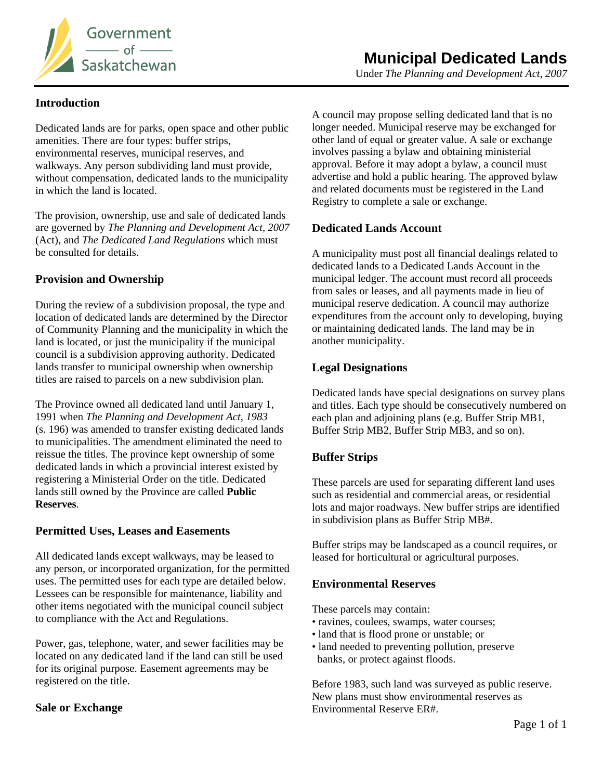

## **Introduction**

Dedicated lands are for parks, open space and other public amenities. There are four types: buffer strips, environmental reserves, municipal reserves, and walkways. Any person subdividing land must provide, without compensation, dedicated lands to the municipality in which the land is located.

The provision, ownership, use and sale of dedicated lands are governed by *The Planning and Development Act, 2007* (Act), and *The Dedicated Land Regulations* which must be consulted for details.

## **Provision and Ownership**

During the review of a subdivision proposal, the type and location of dedicated lands are determined by the Director of Community Planning and the municipality in which the land is located, or just the municipality if the municipal council is a subdivision approving authority. Dedicated lands transfer to municipal ownership when ownership titles are raised to parcels on a new subdivision plan.

The Province owned all dedicated land until January 1, 1991 when *The Planning and Development Act, 1983*  (s. 196) was amended to transfer existing dedicated lands to municipalities. The amendment eliminated the need to reissue the titles. The province kept ownership of some dedicated lands in which a provincial interest existed by registering a Ministerial Order on the title. Dedicated lands still owned by the Province are called **Public Reserves**.

## **Permitted Uses, Leases and Easements**

All dedicated lands except walkways, may be leased to any person, or incorporated organization, for the permitted uses. The permitted uses for each type are detailed below. Lessees can be responsible for maintenance, liability and other items negotiated with the municipal council subject to compliance with the Act and Regulations.

Power, gas, telephone, water, and sewer facilities may be located on any dedicated land if the land can still be used for its original purpose. Easement agreements may be registered on the title.

## **Sale or Exchange**

A council may propose selling dedicated land that is no longer needed. Municipal reserve may be exchanged for other land of equal or greater value. A sale or exchange involves passing a bylaw and obtaining ministerial approval. Before it may adopt a bylaw, a council must advertise and hold a public hearing. The approved bylaw and related documents must be registered in the Land Registry to complete a sale or exchange.

## **Dedicated Lands Account**

A municipality must post all financial dealings related to dedicated lands to a Dedicated Lands Account in the municipal ledger. The account must record all proceeds from sales or leases, and all payments made in lieu of municipal reserve dedication. A council may authorize expenditures from the account only to developing, buying or maintaining dedicated lands. The land may be in another municipality.

## **Legal Designations**

Dedicated lands have special designations on survey plans and titles. Each type should be consecutively numbered on each plan and adjoining plans (e.g. Buffer Strip MB1, Buffer Strip MB2, Buffer Strip MB3, and so on).

# **Buffer Strips**

These parcels are used for separating different land uses such as residential and commercial areas, or residential lots and major roadways. New buffer strips are identified in subdivision plans as Buffer Strip MB#.

Buffer strips may be landscaped as a council requires, or leased for horticultural or agricultural purposes.

## **Environmental Reserves**

These parcels may contain:

- ravines, coulees, swamps, water courses;
- land that is flood prone or unstable; or
- land needed to preventing pollution, preserve banks, or protect against floods.

Before 1983, such land was surveyed as public reserve. New plans must show environmental reserves as Environmental Reserve ER#.